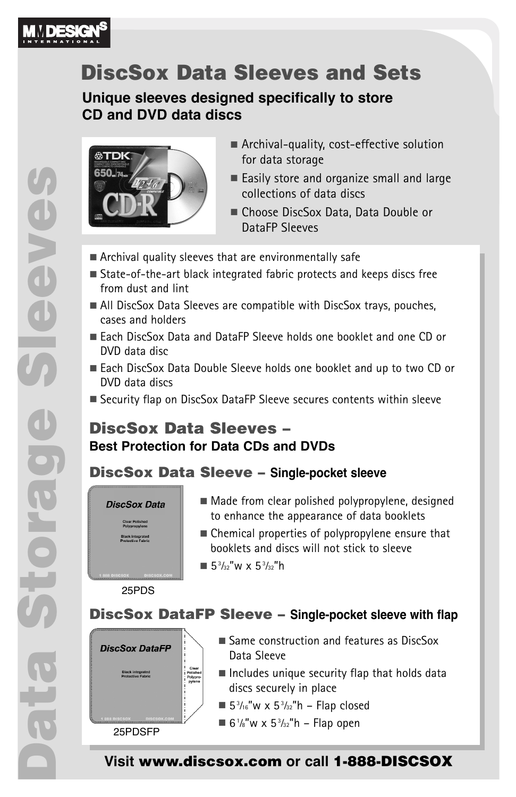

# **DiscSox Data Sleeves and Sets**

**Unique sleeves designed specifically to store CD and DVD data discs**



- Archival-quality, cost-effective solution for data storage
- Easily store and organize small and large collections of data discs
- Choose DiscSox Data, Data Double or DataFP Sleeves
- Archival quality sleeves that are environmentally safe
- State-of-the-art black integrated fabric protects and keeps discs free from dust and lint
- All DiscSox Data Sleeves are compatible with DiscSox trays, pouches, cases and holders
- Each DiscSox Data and DataFP Sleeve holds one booklet and one CD or DVD data disc
- Each DiscSox Data Double Sleeve holds one booklet and up to two CD or DVD data discs
- Security flap on DiscSox DataFP Sleeve secures contents within sleeve

## **DiscSox Data Sleeves – Best Protection for Data CDs and DVDs**

## **DiscSox Data Sleeve – Single-pocket sleeve**



**Black integrated<br>Protective Fabric** 

- Made from clear polished polypropylene, designed to enhance the appearance of data booklets
- Chemical properties of polypropylene ensure that booklets and discs will not stick to sleeve ■  $5<sup>3</sup>/32$ "w x  $5<sup>3</sup>/32$ "h

25PDS

**DiscSox DataFP Sleeve – Single-pocket sleeve with flap**



- Same construction and features as DiscSox Data Sleeve
- $\blacksquare$  Includes unique security flap that holds data discs securely in place
- $5\frac{3}{16}$ "w x  $5\frac{3}{32}$ "h Flap closed
- 6 $\frac{1}{8}$ "w x 5 $\frac{3}{32}$ "h Flap open

**Visit www.discsox.com or call 1-888-DISCSOX**